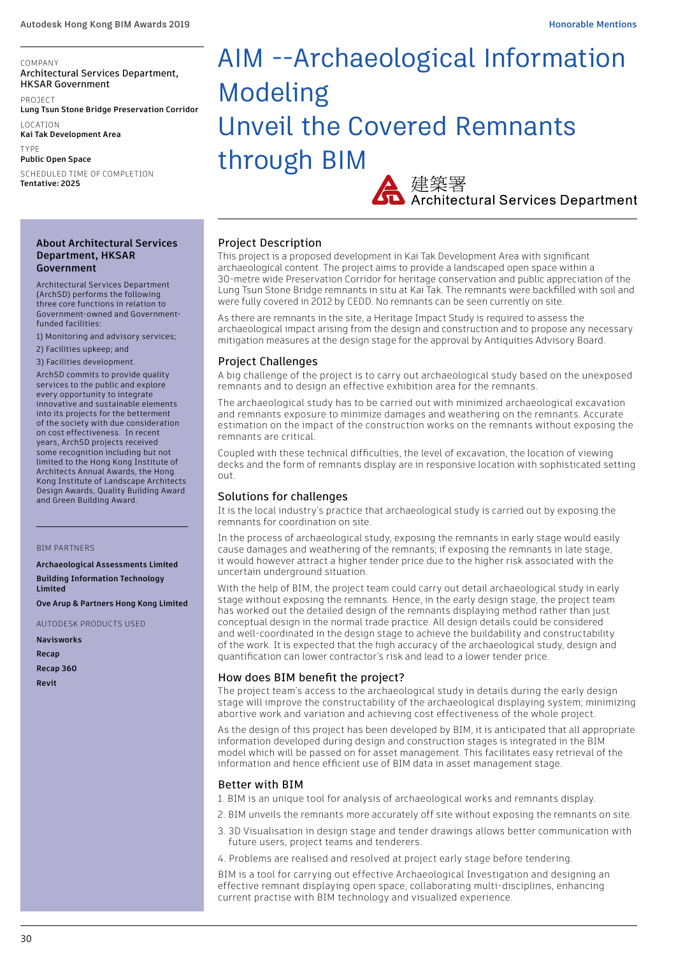#### COMPANY Architectural Services Department, HKSAR Government

PROJECT **Lung Tsun Stone Bridge Preservation Corridor**

LOCATION **Kai Tak Development Area**

TYPE **Public Open Space**

SCHEDULED TIME OF COMPLETION **Tentative: 2025**

#### **About Architectural Services Department, HKSAR Government**

Architectural Services Department (ArchSD) performs the following three core functions in relation to Government-owned and Governmentfunded facilities:

1) Monitoring and advisory services;

2) Facilities upkeep; and

3) Facilities development.

ArchSD commits to provide quality services to the public and explore every opportunity to integrate innovative and sustainable elements into its projects for the betterment of the society with due consideration on cost effectiveness. In recent years, ArchSD projects received some recognition including but not limited to the Hong Kong Institute of Architects Annual Awards, the Hong Kong Institute of Landscape Architects Design Awards, Quality Building Award and Green Building Award.

#### BIM PARTNERS

**Archaeological Assessments Limited**

**Building Information Technology Limited**

**Ove Arup & Partners Hong Kong Limited**

AUTODESK PRODUCTS USED

**Navisworks**

**Recap**

**Recap 360**

**Revit**

# AIM --Archaeological Information Modeling Unveil the Covered Remnants through BIM

建築署<br>Architectural Services Department

# Project Description

This project is a proposed development in Kai Tak Development Area with significant archaeological content. The project aims to provide a landscaped open space within a 30-metre wide Preservation Corridor for heritage conservation and public appreciation of the Lung Tsun Stone Bridge remnants in situ at Kai Tak. The remnants were backfilled with soil and were fully covered in 2012 by CEDD. No remnants can be seen currently on site.

As there are remnants in the site, a Heritage Impact Study is required to assess the archaeological impact arising from the design and construction and to propose any necessary mitigation measures at the design stage for the approval by Antiquities Advisory Board.

#### Project Challenges

A big challenge of the project is to carry out archaeological study based on the unexposed remnants and to design an effective exhibition area for the remnants.

The archaeological study has to be carried out with minimized archaeological excavation and remnants exposure to minimize damages and weathering on the remnants. Accurate estimation on the impact of the construction works on the remnants without exposing the remnants are critical.

Coupled with these technical difficulties, the level of excavation, the location of viewing decks and the form of remnants display are in responsive location with sophisticated setting out.

# Solutions for challenges

It is the local industry's practice that archaeological study is carried out by exposing the remnants for coordination on site.

In the process of archaeological study, exposing the remnants in early stage would easily cause damages and weathering of the remnants; if exposing the remnants in late stage, it would however attract a higher tender price due to the higher risk associated with the uncertain underground situation.

With the help of BIM, the project team could carry out detail archaeological study in early stage without exposing the remnants. Hence, in the early design stage, the project team has worked out the detailed design of the remnants displaying method rather than just conceptual design in the normal trade practice. All design details could be considered and well-coordinated in the design stage to achieve the buildability and constructability of the work. It is expected that the high accuracy of the archaeological study, design and quantification can lower contractor's risk and lead to a lower tender price.

# How does BIM benefit the project?

The project team's access to the archaeological study in details during the early design stage will improve the constructability of the archaeological displaying system; minimizing abortive work and variation and achieving cost effectiveness of the whole project.

As the design of this project has been developed by BIM, it is anticipated that all appropriate information developed during design and construction stages is integrated in the BIM model which will be passed on for asset management. This facilitates easy retrieval of the information and hence efficient use of BIM data in asset management stage.

# Better with BIM

1. BIM is an unique tool for analysis of archaeological works and remnants display.

- 2. BIM unveils the remnants more accurately off site without exposing the remnants on site.
- 3. 3D Visualisation in design stage and tender drawings allows better communication with future users, project teams and tenderers.
- 4. Problems are realised and resolved at project early stage before tendering.

BIM is a tool for carrying out effective Archaeological Investigation and designing an effective remnant displaying open space, collaborating multi-disciplines, enhancing current practise with BIM technology and visualized experience.